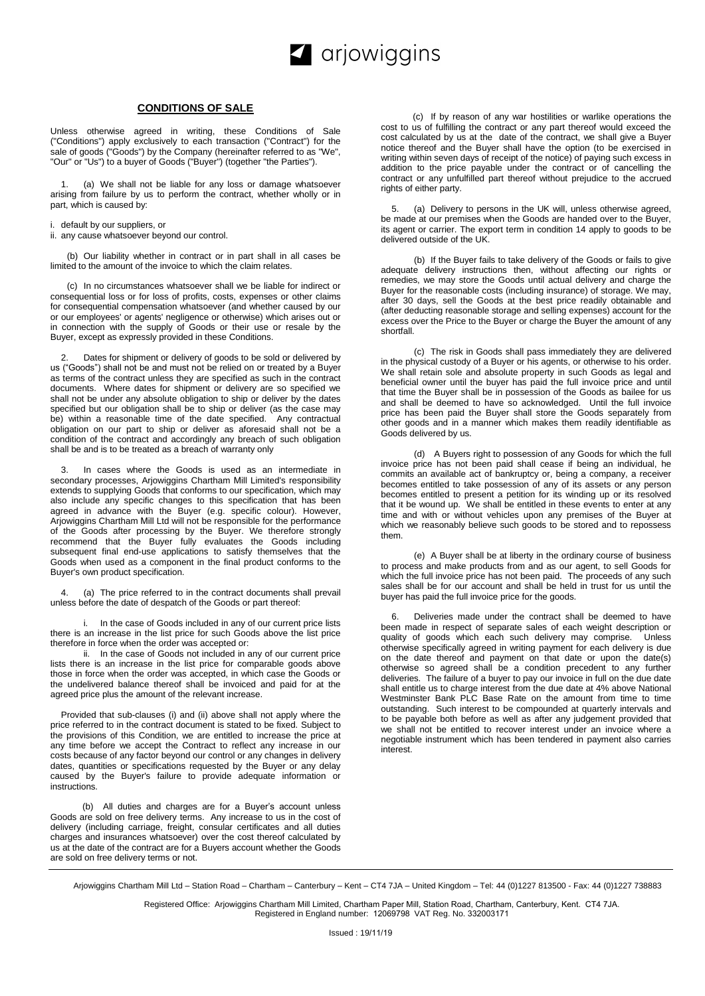

## **CONDITIONS OF SALE**

Unless otherwise agreed in writing, these Conditions of Sale ("Conditions") apply exclusively to each transaction ("Contract") for the sale of goods ("Goods") by the Company (hereinafter referred to as "We", "Our" or "Us") to a buyer of Goods ("Buyer") (together "the Parties").

(a) We shall not be liable for any loss or damage whatsoever arising from failure by us to perform the contract, whether wholly or in part, which is caused by:

i. default by our suppliers, or

ii. any cause whatsoever beyond our control.

(b) Our liability whether in contract or in part shall in all cases be limited to the amount of the invoice to which the claim relates.

(c) In no circumstances whatsoever shall we be liable for indirect or consequential loss or for loss of profits, costs, expenses or other claims for consequential compensation whatsoever (and whether caused by our or our employees' or agents' negligence or otherwise) which arises out or in connection with the supply of Goods or their use or resale by the Buyer, except as expressly provided in these Conditions.

Dates for shipment or delivery of goods to be sold or delivered by us ("Goods") shall not be and must not be relied on or treated by a Buyer as terms of the contract unless they are specified as such in the contract documents. Where dates for shipment or delivery are so specified we shall not be under any absolute obligation to ship or deliver by the dates specified but our obligation shall be to ship or deliver (as the case may be) within a reasonable time of the date specified. Any contractual obligation on our part to ship or deliver as aforesaid shall not be a condition of the contract and accordingly any breach of such obligation shall be and is to be treated as a breach of warranty only

In cases where the Goods is used as an intermediate in secondary processes, Arjowiggins Chartham Mill Limited's responsibility extends to supplying Goods that conforms to our specification, which may also include any specific changes to this specification that has been agreed in advance with the Buyer (e.g. specific colour). However, Arjowiggins Chartham Mill Ltd will not be responsible for the performance of the Goods after processing by the Buyer. We therefore strongly recommend that the Buyer fully evaluates the Goods including subsequent final end-use applications to satisfy themselves that the Goods when used as a component in the final product conforms to the Buyer's own product specification.

4. (a) The price referred to in the contract documents shall prevail unless before the date of despatch of the Goods or part thereof:

In the case of Goods included in any of our current price lists there is an increase in the list price for such Goods above the list price therefore in force when the order was accepted or:

ii. In the case of Goods not included in any of our current price lists there is an increase in the list price for comparable goods above those in force when the order was accepted, in which case the Goods or the undelivered balance thereof shall be invoiced and paid for at the agreed price plus the amount of the relevant increase.

Provided that sub-clauses (i) and (ii) above shall not apply where the price referred to in the contract document is stated to be fixed. Subject to the provisions of this Condition, we are entitled to increase the price at any time before we accept the Contract to reflect any increase in our costs because of any factor beyond our control or any changes in delivery dates, quantities or specifications requested by the Buyer or any delay caused by the Buyer's failure to provide adequate information or instructions.

(b) All duties and charges are for a Buyer's account unless Goods are sold on free delivery terms. Any increase to us in the cost of delivery (including carriage, freight, consular certificates and all duties charges and insurances whatsoever) over the cost thereof calculated by us at the date of the contract are for a Buyers account whether the Goods are sold on free delivery terms or not.

(c) If by reason of any war hostilities or warlike operations the cost to us of fulfilling the contract or any part thereof would exceed the cost calculated by us at the date of the contract, we shall give a Buyer notice thereof and the Buyer shall have the option (to be exercised in writing within seven days of receipt of the notice) of paying such excess in addition to the price payable under the contract or of cancelling the contract or any unfulfilled part thereof without prejudice to the accrued rights of either party.

(a) Delivery to persons in the UK will, unless otherwise agreed, be made at our premises when the Goods are handed over to the Buyer, its agent or carrier. The export term in condition 14 apply to goods to be delivered outside of the UK.

(b) If the Buyer fails to take delivery of the Goods or fails to give adequate delivery instructions then, without affecting our rights or remedies, we may store the Goods until actual delivery and charge the Buyer for the reasonable costs (including insurance) of storage. We may, after 30 days, sell the Goods at the best price readily obtainable and (after deducting reasonable storage and selling expenses) account for the excess over the Price to the Buyer or charge the Buyer the amount of any shortfall.

(c) The risk in Goods shall pass immediately they are delivered in the physical custody of a Buyer or his agents, or otherwise to his order. We shall retain sole and absolute property in such Goods as legal and beneficial owner until the buyer has paid the full invoice price and until that time the Buyer shall be in possession of the Goods as bailee for us and shall be deemed to have so acknowledged. Until the full invoice price has been paid the Buyer shall store the Goods separately from other goods and in a manner which makes them readily identifiable as Goods delivered by us.

(d) A Buyers right to possession of any Goods for which the full invoice price has not been paid shall cease if being an individual, he commits an available act of bankruptcy or, being a company, a receiver becomes entitled to take possession of any of its assets or any person becomes entitled to present a petition for its winding up or its resolved that it be wound up. We shall be entitled in these events to enter at any time and with or without vehicles upon any premises of the Buyer at which we reasonably believe such goods to be stored and to repossess them.

(e) A Buyer shall be at liberty in the ordinary course of business to process and make products from and as our agent, to sell Goods for which the full invoice price has not been paid. The proceeds of any such sales shall be for our account and shall be held in trust for us until the buyer has paid the full invoice price for the goods.

6. Deliveries made under the contract shall be deemed to have been made in respect of separate sales of each weight description or quality of goods which each such delivery may comprise. Unless otherwise specifically agreed in writing payment for each delivery is due on the date thereof and payment on that date or upon the date(s) otherwise so agreed shall be a condition precedent to any further deliveries. The failure of a buyer to pay our invoice in full on the due date shall entitle us to charge interest from the due date at 4% above National Westminster Bank PLC Base Rate on the amount from time to time outstanding. Such interest to be compounded at quarterly intervals and to be payable both before as well as after any judgement provided that we shall not be entitled to recover interest under an invoice where a negotiable instrument which has been tendered in payment also carries interest.

Registered Office: Arjowiggins Chartham Mill Limited, Chartham Paper Mill, Station Road, Chartham, Canterbury, Kent. CT4 7JA. Registered in England number: 12069798 VAT Reg. No. 332003171

Arjowiggins Chartham Mill Ltd – Station Road – Chartham – Canterbury – Kent – CT4 7JA – United Kingdom – Tel: 44 (0)1227 813500 - Fax: 44 (0)1227 738883